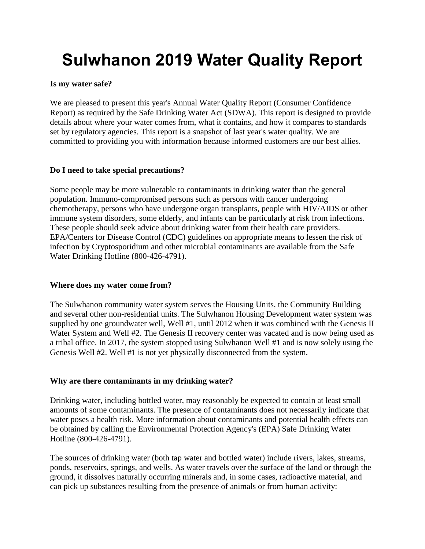# **Sulwhanon 2019 Water Quality Report**

#### **Is my water safe?**

We are pleased to present this year's Annual Water Quality Report (Consumer Confidence Report) as required by the Safe Drinking Water Act (SDWA). This report is designed to provide details about where your water comes from, what it contains, and how it compares to standards set by regulatory agencies. This report is a snapshot of last year's water quality. We are committed to providing you with information because informed customers are our best allies.

#### **Do I need to take special precautions?**

Some people may be more vulnerable to contaminants in drinking water than the general population. Immuno-compromised persons such as persons with cancer undergoing chemotherapy, persons who have undergone organ transplants, people with HIV/AIDS or other immune system disorders, some elderly, and infants can be particularly at risk from infections. These people should seek advice about drinking water from their health care providers. EPA/Centers for Disease Control (CDC) guidelines on appropriate means to lessen the risk of infection by Cryptosporidium and other microbial contaminants are available from the Safe Water Drinking Hotline (800-426-4791).

#### **Where does my water come from?**

The Sulwhanon community water system serves the Housing Units, the Community Building and several other non-residential units. The Sulwhanon Housing Development water system was supplied by one groundwater well, Well #1, until 2012 when it was combined with the Genesis II Water System and Well #2. The Genesis II recovery center was vacated and is now being used as a tribal office. In 2017, the system stopped using Sulwhanon Well #1 and is now solely using the Genesis Well #2. Well #1 is not yet physically disconnected from the system.

#### **Why are there contaminants in my drinking water?**

Drinking water, including bottled water, may reasonably be expected to contain at least small amounts of some contaminants. The presence of contaminants does not necessarily indicate that water poses a health risk. More information about contaminants and potential health effects can be obtained by calling the Environmental Protection Agency's (EPA) Safe Drinking Water Hotline (800-426-4791).

The sources of drinking water (both tap water and bottled water) include rivers, lakes, streams, ponds, reservoirs, springs, and wells. As water travels over the surface of the land or through the ground, it dissolves naturally occurring minerals and, in some cases, radioactive material, and can pick up substances resulting from the presence of animals or from human activity: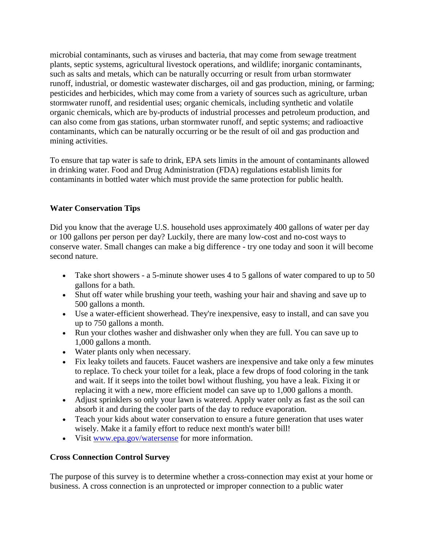microbial contaminants, such as viruses and bacteria, that may come from sewage treatment plants, septic systems, agricultural livestock operations, and wildlife; inorganic contaminants, such as salts and metals, which can be naturally occurring or result from urban stormwater runoff, industrial, or domestic wastewater discharges, oil and gas production, mining, or farming; pesticides and herbicides, which may come from a variety of sources such as agriculture, urban stormwater runoff, and residential uses; organic chemicals, including synthetic and volatile organic chemicals, which are by-products of industrial processes and petroleum production, and can also come from gas stations, urban stormwater runoff, and septic systems; and radioactive contaminants, which can be naturally occurring or be the result of oil and gas production and mining activities.

To ensure that tap water is safe to drink, EPA sets limits in the amount of contaminants allowed in drinking water. Food and Drug Administration (FDA) regulations establish limits for contaminants in bottled water which must provide the same protection for public health.

#### **Water Conservation Tips**

Did you know that the average U.S. household uses approximately 400 gallons of water per day or 100 gallons per person per day? Luckily, there are many low-cost and no-cost ways to conserve water. Small changes can make a big difference - try one today and soon it will become second nature.

- Take short showers a 5-minute shower uses 4 to 5 gallons of water compared to up to 50 gallons for a bath.
- Shut off water while brushing your teeth, washing your hair and shaving and save up to 500 gallons a month.
- Use a water-efficient showerhead. They're inexpensive, easy to install, and can save you up to 750 gallons a month.
- Run your clothes washer and dishwasher only when they are full. You can save up to 1,000 gallons a month.
- Water plants only when necessary.
- Fix leaky toilets and faucets. Faucet washers are inexpensive and take only a few minutes to replace. To check your toilet for a leak, place a few drops of food coloring in the tank and wait. If it seeps into the toilet bowl without flushing, you have a leak. Fixing it or replacing it with a new, more efficient model can save up to 1,000 gallons a month.
- Adjust sprinklers so only your lawn is watered. Apply water only as fast as the soil can absorb it and during the cooler parts of the day to reduce evaporation.
- Teach your kids about water conservation to ensure a future generation that uses water wisely. Make it a family effort to reduce next month's water bill!
- Visit [www.epa.gov/watersense](http://www.epa.gov/watersense) for more information.

#### **Cross Connection Control Survey**

The purpose of this survey is to determine whether a cross-connection may exist at your home or business. A cross connection is an unprotected or improper connection to a public water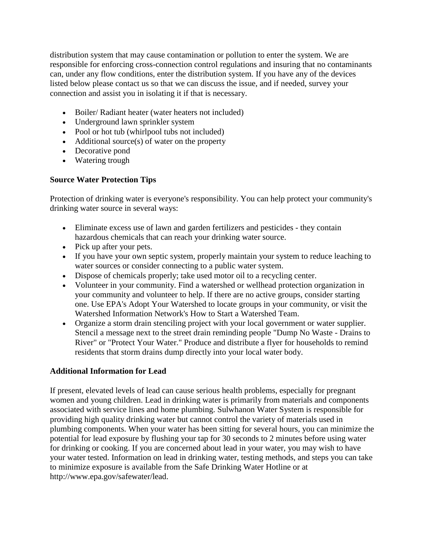distribution system that may cause contamination or pollution to enter the system. We are responsible for enforcing cross-connection control regulations and insuring that no contaminants can, under any flow conditions, enter the distribution system. If you have any of the devices listed below please contact us so that we can discuss the issue, and if needed, survey your connection and assist you in isolating it if that is necessary.

- Boiler/ Radiant heater (water heaters not included)
- Underground lawn sprinkler system
- Pool or hot tub (whirlpool tubs not included)
- Additional source(s) of water on the property
- Decorative pond
- Watering trough

#### **Source Water Protection Tips**

Protection of drinking water is everyone's responsibility. You can help protect your community's drinking water source in several ways:

- Eliminate excess use of lawn and garden fertilizers and pesticides they contain hazardous chemicals that can reach your drinking water source.
- Pick up after your pets.
- If you have your own septic system, properly maintain your system to reduce leaching to water sources or consider connecting to a public water system.
- Dispose of chemicals properly; take used motor oil to a recycling center.
- Volunteer in your community. Find a watershed or wellhead protection organization in your community and volunteer to help. If there are no active groups, consider starting one. Use EPA's Adopt Your Watershed to locate groups in your community, or visit the Watershed Information Network's How to Start a Watershed Team.
- Organize a storm drain stenciling project with your local government or water supplier. Stencil a message next to the street drain reminding people "Dump No Waste - Drains to River" or "Protect Your Water." Produce and distribute a flyer for households to remind residents that storm drains dump directly into your local water body.

#### **Additional Information for Lead**

If present, elevated levels of lead can cause serious health problems, especially for pregnant women and young children. Lead in drinking water is primarily from materials and components associated with service lines and home plumbing. Sulwhanon Water System is responsible for providing high quality drinking water but cannot control the variety of materials used in plumbing components. When your water has been sitting for several hours, you can minimize the potential for lead exposure by flushing your tap for 30 seconds to 2 minutes before using water for drinking or cooking. If you are concerned about lead in your water, you may wish to have your water tested. Information on lead in drinking water, testing methods, and steps you can take to minimize exposure is available from the Safe Drinking Water Hotline or at http://www.epa.gov/safewater/lead.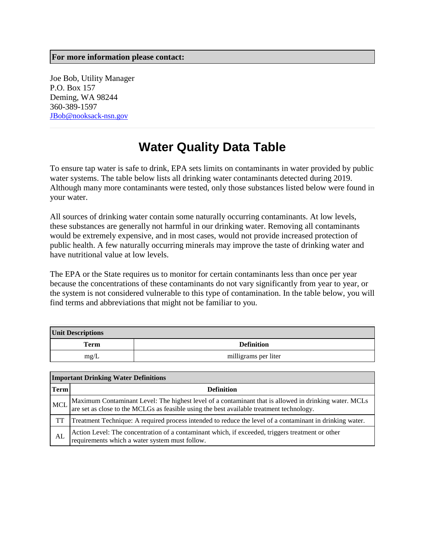#### **For more information please contact:**

Joe Bob, Utility Manager P.O. Box 157 Deming, WA 98244 360-389-1597 [JBob@nooksack-nsn.gov](mailto:JBob@nooksack-nsn.gov)

## **Water Quality Data Table**

To ensure tap water is safe to drink, EPA sets limits on contaminants in water provided by public water systems. The table below lists all drinking water contaminants detected during 2019. Although many more contaminants were tested, only those substances listed below were found in your water.

All sources of drinking water contain some naturally occurring contaminants. At low levels, these substances are generally not harmful in our drinking water. Removing all contaminants would be extremely expensive, and in most cases, would not provide increased protection of public health. A few naturally occurring minerals may improve the taste of drinking water and have nutritional value at low levels.

The EPA or the State requires us to monitor for certain contaminants less than once per year because the concentrations of these contaminants do not vary significantly from year to year, or the system is not considered vulnerable to this type of contamination. In the table below, you will find terms and abbreviations that might not be familiar to you.

| <b>Unit Descriptions</b> |                      |  |  |  |  |  |
|--------------------------|----------------------|--|--|--|--|--|
| Term                     | <b>Definition</b>    |  |  |  |  |  |
| mg/L                     | milligrams per liter |  |  |  |  |  |

| <b>Important Drinking Water Definitions</b> |                                                                                                                                                                                                |  |  |  |
|---------------------------------------------|------------------------------------------------------------------------------------------------------------------------------------------------------------------------------------------------|--|--|--|
| <b>Term</b>                                 | <b>Definition</b>                                                                                                                                                                              |  |  |  |
| <b>MCL</b>                                  | Maximum Contaminant Level: The highest level of a contaminant that is allowed in drinking water. MCLs are set as close to the MCLGs as feasible using the best available treatment technology. |  |  |  |
| TT                                          | Treatment Technique: A required process intended to reduce the level of a contaminant in drinking water.                                                                                       |  |  |  |
| AL                                          | Action Level: The concentration of a contaminant which, if exceeded, triggers treatment or other<br>requirements which a water system must follow.                                             |  |  |  |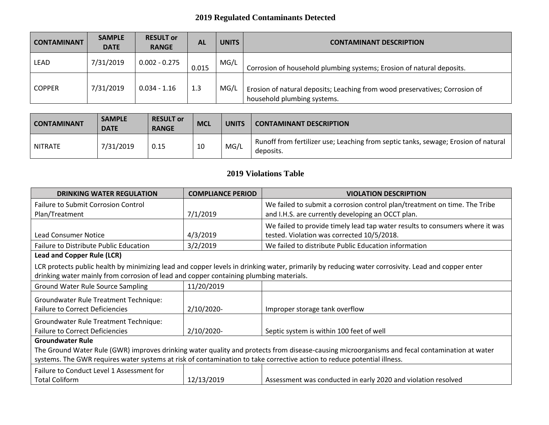### **2019 Regulated Contaminants Detected**

| <b>CONTAMINANT</b> | <b>SAMPLE</b><br><b>DATE</b> | <b>RESULT or</b><br><b>RANGE</b> | <b>AL</b> | <b>UNITS</b> | <b>CONTAMINANT DESCRIPTION</b>                                                                             |
|--------------------|------------------------------|----------------------------------|-----------|--------------|------------------------------------------------------------------------------------------------------------|
| LEAD               | 7/31/2019                    | $0.002 - 0.275$                  | 0.015     | MG/L         | Corrosion of household plumbing systems; Erosion of natural deposits.                                      |
| <b>COPPER</b>      | 7/31/2019                    | $0.034 - 1.16$                   | 1.3       | MG/L         | Erosion of natural deposits; Leaching from wood preservatives; Corrosion of<br>household plumbing systems. |

| <b>CONTAMINANT</b> | <b>SAMPLE</b><br><b>DATE</b> | <b>RESULT or</b><br><b>RANGE</b> | <b>MCL</b> | <b>UNITS</b> | <b>CONTAMINANT DESCRIPTION</b>                                                                  |
|--------------------|------------------------------|----------------------------------|------------|--------------|-------------------------------------------------------------------------------------------------|
| <b>NITRATE</b>     | 7/31/2019                    | 0.15                             | 10         | MG/L         | Runoff from fertilizer use; Leaching from septic tanks, sewage; Erosion of natural<br>deposits. |

#### **2019 Violations Table**

| <b>DRINKING WATER REGULATION</b>                                                                                                                  | <b>COMPLIANCE PERIOD</b> | <b>VIOLATION DESCRIPTION</b>                                                 |  |  |  |  |
|---------------------------------------------------------------------------------------------------------------------------------------------------|--------------------------|------------------------------------------------------------------------------|--|--|--|--|
| <b>Failure to Submit Corrosion Control</b>                                                                                                        |                          | We failed to submit a corrosion control plan/treatment on time. The Tribe    |  |  |  |  |
| Plan/Treatment                                                                                                                                    | 7/1/2019                 | and I.H.S. are currently developing an OCCT plan.                            |  |  |  |  |
|                                                                                                                                                   |                          | We failed to provide timely lead tap water results to consumers where it was |  |  |  |  |
| <b>Lead Consumer Notice</b>                                                                                                                       | 4/3/2019                 | tested. Violation was corrected 10/5/2018.                                   |  |  |  |  |
| Failure to Distribute Public Education                                                                                                            | 3/2/2019                 | We failed to distribute Public Education information                         |  |  |  |  |
| <b>Lead and Copper Rule (LCR)</b>                                                                                                                 |                          |                                                                              |  |  |  |  |
| LCR protects public health by minimizing lead and copper levels in drinking water, primarily by reducing water corrosivity. Lead and copper enter |                          |                                                                              |  |  |  |  |
| drinking water mainly from corrosion of lead and copper containing plumbing materials.                                                            |                          |                                                                              |  |  |  |  |
| <b>Ground Water Rule Source Sampling</b>                                                                                                          | 11/20/2019               |                                                                              |  |  |  |  |
| <b>Groundwater Rule Treatment Technique:</b>                                                                                                      |                          |                                                                              |  |  |  |  |
| <b>Failure to Correct Deficiencies</b>                                                                                                            | 2/10/2020-               | Improper storage tank overflow                                               |  |  |  |  |
| <b>Groundwater Rule Treatment Technique:</b>                                                                                                      |                          |                                                                              |  |  |  |  |
| <b>Failure to Correct Deficiencies</b>                                                                                                            | 2/10/2020-               | Septic system is within 100 feet of well                                     |  |  |  |  |
| <b>Groundwater Rule</b>                                                                                                                           |                          |                                                                              |  |  |  |  |
| The Ground Water Rule (GWR) improves drinking water quality and protects from disease-causing microorganisms and fecal contamination at water     |                          |                                                                              |  |  |  |  |
| systems. The GWR requires water systems at risk of contamination to take corrective action to reduce potential illness.                           |                          |                                                                              |  |  |  |  |
| Failure to Conduct Level 1 Assessment for                                                                                                         |                          |                                                                              |  |  |  |  |
| <b>Total Coliform</b>                                                                                                                             | 12/13/2019               | Assessment was conducted in early 2020 and violation resolved                |  |  |  |  |